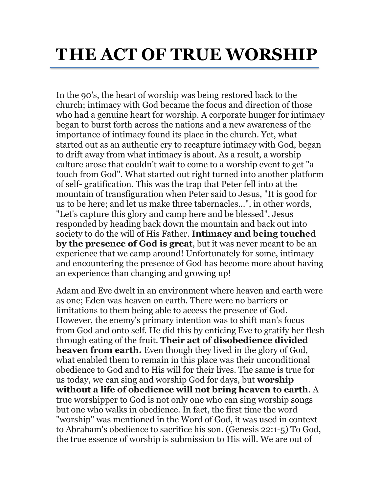## **THE ACT OF TRUE WORSHIP**

In the 90's, the heart of worship was being restored back to the church; intimacy with God became the focus and direction of those who had a genuine heart for worship. A corporate hunger for intimacy began to burst forth across the nations and a new awareness of the importance of intimacy found its place in the church. Yet, what started out as an authentic cry to recapture intimacy with God, began to drift away from what intimacy is about. As a result, a worship culture arose that couldn't wait to come to a worship event to get "a touch from God". What started out right turned into another platform of self- gratification. This was the trap that Peter fell into at the mountain of transfiguration when Peter said to Jesus, "It is good for us to be here; and let us make three tabernacles...", in other words, "Let's capture this glory and camp here and be blessed". Jesus responded by heading back down the mountain and back out into society to do the will of His Father. **Intimacy and being touched by the presence of God is great**, but it was never meant to be an experience that we camp around! Unfortunately for some, intimacy and encountering the presence of God has become more about having an experience than changing and growing up!

Adam and Eve dwelt in an environment where heaven and earth were as one; Eden was heaven on earth. There were no barriers or limitations to them being able to access the presence of God. However, the enemy's primary intention was to shift man's focus from God and onto self. He did this by enticing Eve to gratify her flesh through eating of the fruit. **Their act of disobedience divided heaven from earth.** Even though they lived in the glory of God, what enabled them to remain in this place was their unconditional obedience to God and to His will for their lives. The same is true for us today, we can sing and worship God for days, but **worship without a life of obedience will not bring heaven to earth**. A true worshipper to God is not only one who can sing worship songs but one who walks in obedience. In fact, the first time the word "worship" was mentioned in the Word of God, it was used in context to Abraham's obedience to sacrifice his son. (Genesis 22:1-5) To God, the true essence of worship is submission to His will. We are out of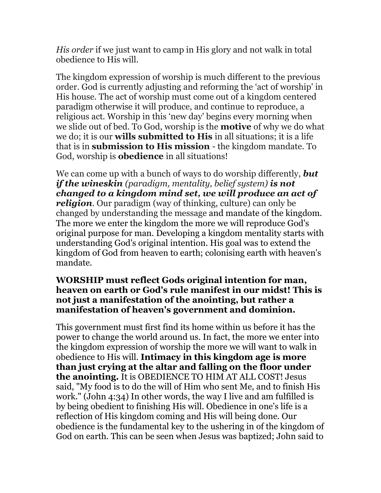*His order* if we just want to camp in His glory and not walk in total obedience to His will.

The kingdom expression of worship is much different to the previous order. God is currently adjusting and reforming the 'act of worship' in His house. The act of worship must come out of a kingdom centered paradigm otherwise it will produce, and continue to reproduce, a religious act. Worship in this 'new day' begins every morning when we slide out of bed. To God, worship is the **motive** of why we do what we do; it is our **wills submitted to His** in all situations; it is a life that is in **submission to His mission** - the kingdom mandate. To God, worship is **obedience** in all situations!

We can come up with a bunch of ways to do worship differently, *but if the wineskin (paradigm, mentality, belief system) is not changed to a kingdom mind set, we will produce an act of religion*. Our paradigm (way of thinking, culture) can only be changed by understanding the message and mandate of the kingdom. The more we enter the kingdom the more we will reproduce God's original purpose for man. Developing a kingdom mentality starts with understanding God's original intention. His goal was to extend the kingdom of God from heaven to earth; colonising earth with heaven's mandate.

## **WORSHIP must reflect Gods original intention for man, heaven on earth or God's rule manifest in our midst! This is not just a manifestation of the anointing, but rather a manifestation of heaven's government and dominion.**

This government must first find its home within us before it has the power to change the world around us. In fact, the more we enter into the kingdom expression of worship the more we will want to walk in obedience to His will. **Intimacy in this kingdom age is more than just crying at the altar and falling on the floor under the anointing.** It is OBEDIENCE TO HIM AT ALL COST! Jesus said, "My food is to do the will of Him who sent Me, and to finish His work." (John 4:34) In other words, the way I live and am fulfilled is by being obedient to finishing His will. Obedience in one's life is a reflection of His kingdom coming and His will being done. Our obedience is the fundamental key to the ushering in of the kingdom of God on earth. This can be seen when Jesus was baptized; John said to